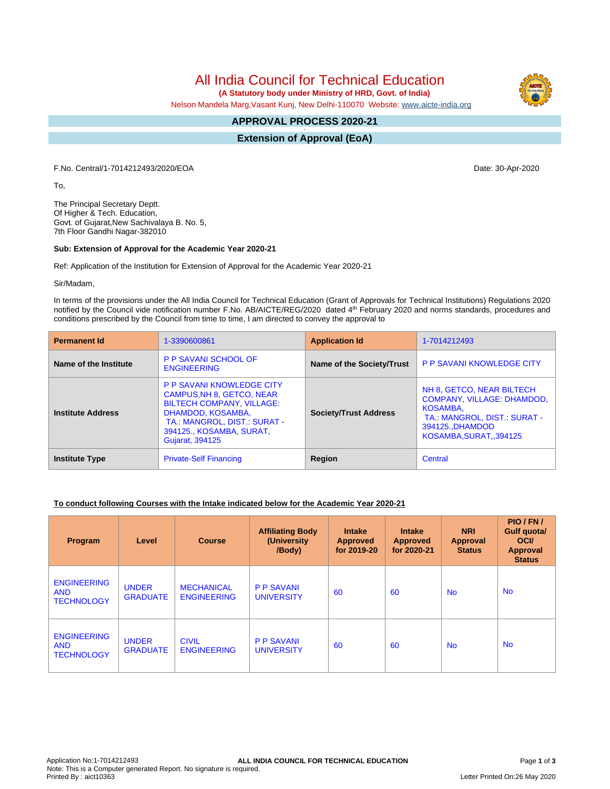# All India Council for Technical Education

 **(A Statutory body under Ministry of HRD, Govt. of India)**

Nelson Mandela Marg,Vasant Kunj, New Delhi-110070 Website: [www.aicte-india.org](http://www.aicte-india.org)

#### **APPROVAL PROCESS 2020-21 -**

**Extension of Approval (EoA)**

F.No. Central/1-7014212493/2020/EOA Date: 30-Apr-2020

To,

The Principal Secretary Deptt. Of Higher & Tech. Education, Govt. of Gujarat,New Sachivalaya B. No. 5, 7th Floor Gandhi Nagar-382010

#### **Sub: Extension of Approval for the Academic Year 2020-21**

Ref: Application of the Institution for Extension of Approval for the Academic Year 2020-21

Sir/Madam,

In terms of the provisions under the All India Council for Technical Education (Grant of Approvals for Technical Institutions) Regulations 2020 notified by the Council vide notification number F.No. AB/AICTE/REG/2020 dated 4<sup>th</sup> February 2020 and norms standards, procedures and conditions prescribed by the Council from time to time, I am directed to convey the approval to

| <b>Permanent Id</b>      | 1-3390600861                                                                                                                                                                                                 | <b>Application Id</b>        | 1-7014212493                                                                                                                                                    |  |
|--------------------------|--------------------------------------------------------------------------------------------------------------------------------------------------------------------------------------------------------------|------------------------------|-----------------------------------------------------------------------------------------------------------------------------------------------------------------|--|
| Name of the Institute    | <b>P P SAVANI SCHOOL OF</b><br><b>ENGINEERING</b>                                                                                                                                                            | Name of the Society/Trust    | <b>P P SAVANI KNOWLEDGE CITY</b>                                                                                                                                |  |
| <b>Institute Address</b> | <b>P P SAVANI KNOWLEDGE CITY</b><br>CAMPUS, NH 8, GETCO, NEAR<br><b>BILTECH COMPANY, VILLAGE:</b><br>DHAMDOD, KOSAMBA,<br>TA.: MANGROL, DIST.: SURAT -<br>394125., KOSAMBA, SURAT,<br><b>Gujarat, 394125</b> | <b>Society/Trust Address</b> | NH 8, GETCO, NEAR BILTECH<br><b>COMPANY, VILLAGE: DHAMDOD,</b><br><b>KOSAMBA.</b><br>TA.: MANGROL, DIST.: SURAT -<br>394125., DHAMDOD<br>KOSAMBA, SURAT, 394125 |  |
| <b>Institute Type</b>    | <b>Private-Self Financing</b>                                                                                                                                                                                | Region                       | Central                                                                                                                                                         |  |

### **To conduct following Courses with the Intake indicated below for the Academic Year 2020-21**

| Program                                               | Level                           | <b>Course</b>                           | <b>Affiliating Body</b><br>(University<br>/Body) | <b>Intake</b><br><b>Approved</b><br>for 2019-20 | <b>Intake</b><br><b>Approved</b><br>for 2020-21 | <b>NRI</b><br>Approval<br><b>Status</b> | PIO/FN/<br>Gulf quota/<br><b>OCI</b><br>Approval<br><b>Status</b> |
|-------------------------------------------------------|---------------------------------|-----------------------------------------|--------------------------------------------------|-------------------------------------------------|-------------------------------------------------|-----------------------------------------|-------------------------------------------------------------------|
| <b>ENGINEERING</b><br><b>AND</b><br><b>TECHNOLOGY</b> | <b>UNDER</b><br><b>GRADUATE</b> | <b>MECHANICAL</b><br><b>ENGINEERING</b> | <b>P P SAVANI</b><br><b>UNIVERSITY</b>           | 60                                              | 60                                              | <b>No</b>                               | <b>No</b>                                                         |
| <b>ENGINEERING</b><br><b>AND</b><br><b>TECHNOLOGY</b> | <b>UNDER</b><br><b>GRADUATE</b> | <b>CIVIL</b><br><b>ENGINEERING</b>      | <b>P P SAVANI</b><br><b>UNIVERSITY</b>           | 60                                              | 60                                              | <b>No</b>                               | <b>No</b>                                                         |

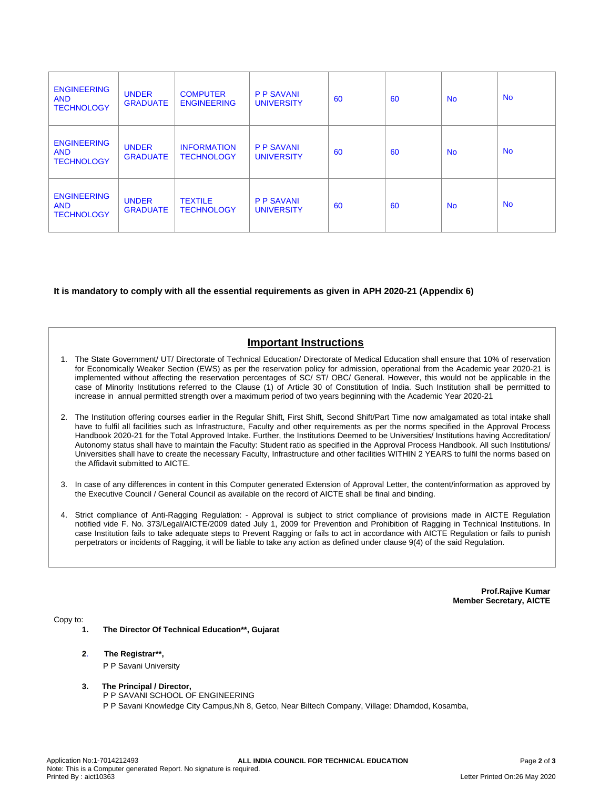| <b>ENGINEERING</b><br><b>AND</b><br><b>TECHNOLOGY</b> | <b>UNDER</b><br><b>GRADUATE</b> | <b>COMPUTER</b><br><b>ENGINEERING</b>   | <b>P P SAVANI</b><br><b>UNIVERSITY</b> | 60 | 60 | <b>No</b> | <b>No</b> |
|-------------------------------------------------------|---------------------------------|-----------------------------------------|----------------------------------------|----|----|-----------|-----------|
| <b>ENGINEERING</b><br><b>AND</b><br><b>TECHNOLOGY</b> | <b>UNDER</b><br><b>GRADUATE</b> | <b>INFORMATION</b><br><b>TECHNOLOGY</b> | <b>P P SAVANI</b><br><b>UNIVERSITY</b> | 60 | 60 | <b>No</b> | <b>No</b> |
| <b>ENGINEERING</b><br><b>AND</b><br><b>TECHNOLOGY</b> | <b>UNDER</b><br><b>GRADUATE</b> | <b>TEXTILE</b><br><b>TECHNOLOGY</b>     | <b>P P SAVANI</b><br><b>UNIVERSITY</b> | 60 | 60 | <b>No</b> | <b>No</b> |

### **It is mandatory to comply with all the essential requirements as given in APH 2020-21 (Appendix 6)**

## **Important Instructions**

- 1. The State Government/ UT/ Directorate of Technical Education/ Directorate of Medical Education shall ensure that 10% of reservation for Economically Weaker Section (EWS) as per the reservation policy for admission, operational from the Academic year 2020-21 is implemented without affecting the reservation percentages of SC/ ST/ OBC/ General. However, this would not be applicable in the case of Minority Institutions referred to the Clause (1) of Article 30 of Constitution of India. Such Institution shall be permitted to increase in annual permitted strength over a maximum period of two years beginning with the Academic Year 2020-21
- 2. The Institution offering courses earlier in the Regular Shift, First Shift, Second Shift/Part Time now amalgamated as total intake shall have to fulfil all facilities such as Infrastructure, Faculty and other requirements as per the norms specified in the Approval Process Handbook 2020-21 for the Total Approved Intake. Further, the Institutions Deemed to be Universities/ Institutions having Accreditation/ Autonomy status shall have to maintain the Faculty: Student ratio as specified in the Approval Process Handbook. All such Institutions/ Universities shall have to create the necessary Faculty, Infrastructure and other facilities WITHIN 2 YEARS to fulfil the norms based on the Affidavit submitted to AICTE.
- 3. In case of any differences in content in this Computer generated Extension of Approval Letter, the content/information as approved by the Executive Council / General Council as available on the record of AICTE shall be final and binding.
- 4. Strict compliance of Anti-Ragging Regulation: Approval is subject to strict compliance of provisions made in AICTE Regulation notified vide F. No. 373/Legal/AICTE/2009 dated July 1, 2009 for Prevention and Prohibition of Ragging in Technical Institutions. In case Institution fails to take adequate steps to Prevent Ragging or fails to act in accordance with AICTE Regulation or fails to punish perpetrators or incidents of Ragging, it will be liable to take any action as defined under clause 9(4) of the said Regulation.

**Prof.Rajive Kumar Member Secretary, AICTE**

Copy to:

- **1. The Director Of Technical Education\*\*, Gujarat**
- **2**. **The Registrar\*\*,** P P Savani University
- **3. The Principal / Director,** P P SAVANI SCHOOL OF ENGINEERING P P Savani Knowledge City Campus,Nh 8, Getco, Near Biltech Company, Village: Dhamdod, Kosamba,